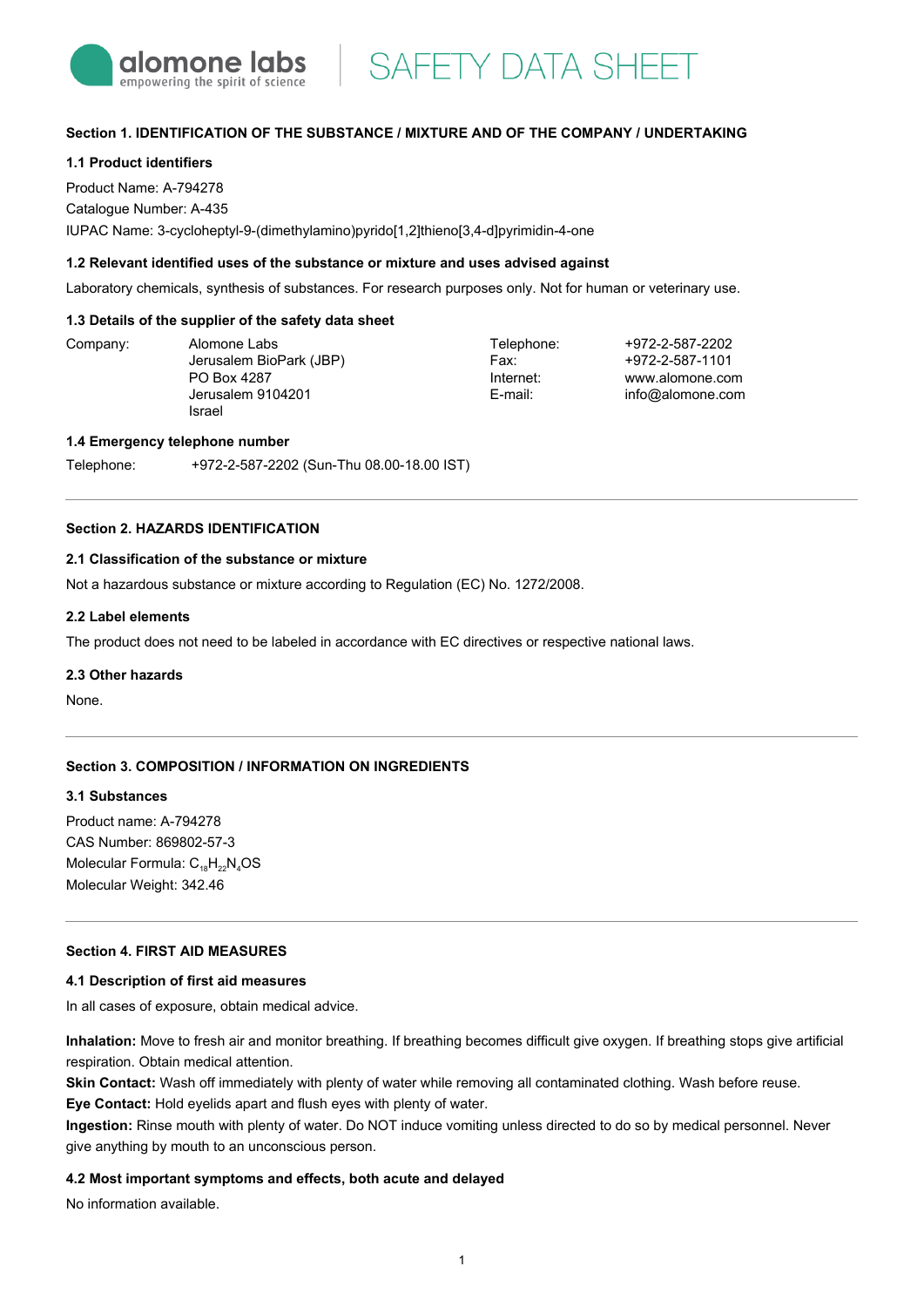

**SAFETY DATA SHEET** 

## **Section 1. IDENTIFICATION OF THE SUBSTANCE / MIXTURE AND OF THE COMPANY / UNDERTAKING**

## **1.1 Product identifiers**

Product Name: A-794278 Catalogue Number: A-435 IUPAC Name: 3-cycloheptyl-9-(dimethylamino)pyrido[1,2]thieno[3,4-d]pyrimidin-4-one

### **1.2 Relevant identified uses of the substance or mixture and uses advised against**

Laboratory chemicals, synthesis of substances. For research purposes only. Not for human or veterinary use.

### **1.3 Details of the supplier of the safety data sheet**

Company: Alomone Labs

Jerusalem BioPark (JBP) PO Box 4287 Jerusalem 9104201 Israel

Telephone: Fax: Internet: E-mail:

+972-2-587-2202 +972-2-587-1101 www.alomone.com info@alomone.com

### **1.4 Emergency telephone number**

Telephone: +972-2-587-2202 (Sun-Thu 08.00-18.00 IST)

## **Section 2. HAZARDS IDENTIFICATION**

#### **2.1 Classification of the substance or mixture**

Not a hazardous substance or mixture according to Regulation (EC) No. 1272/2008.

#### **2.2 Label elements**

The product does not need to be labeled in accordance with EC directives or respective national laws.

#### **2.3 Other hazards**

None.

### **Section 3. COMPOSITION / INFORMATION ON INGREDIENTS**

#### **3.1 Substances**

Product name: A-794278 CAS Number: 869802-57-3 Molecular Formula:  $C_{18}H_{22}N_{4}OS$ Molecular Weight: 342.46

## **Section 4. FIRST AID MEASURES**

#### **4.1 Description of first aid measures**

In all cases of exposure, obtain medical advice.

**Inhalation:** Move to fresh air and monitor breathing. If breathing becomes difficult give oxygen. If breathing stops give artificial respiration. Obtain medical attention.

**Skin Contact:** Wash off immediately with plenty of water while removing all contaminated clothing. Wash before reuse. **Eye Contact:** Hold eyelids apart and flush eyes with plenty of water.

**Ingestion:** Rinse mouth with plenty of water. Do NOT induce vomiting unless directed to do so by medical personnel. Never give anything by mouth to an unconscious person.

### **4.2 Most important symptoms and effects, both acute and delayed**

No information available.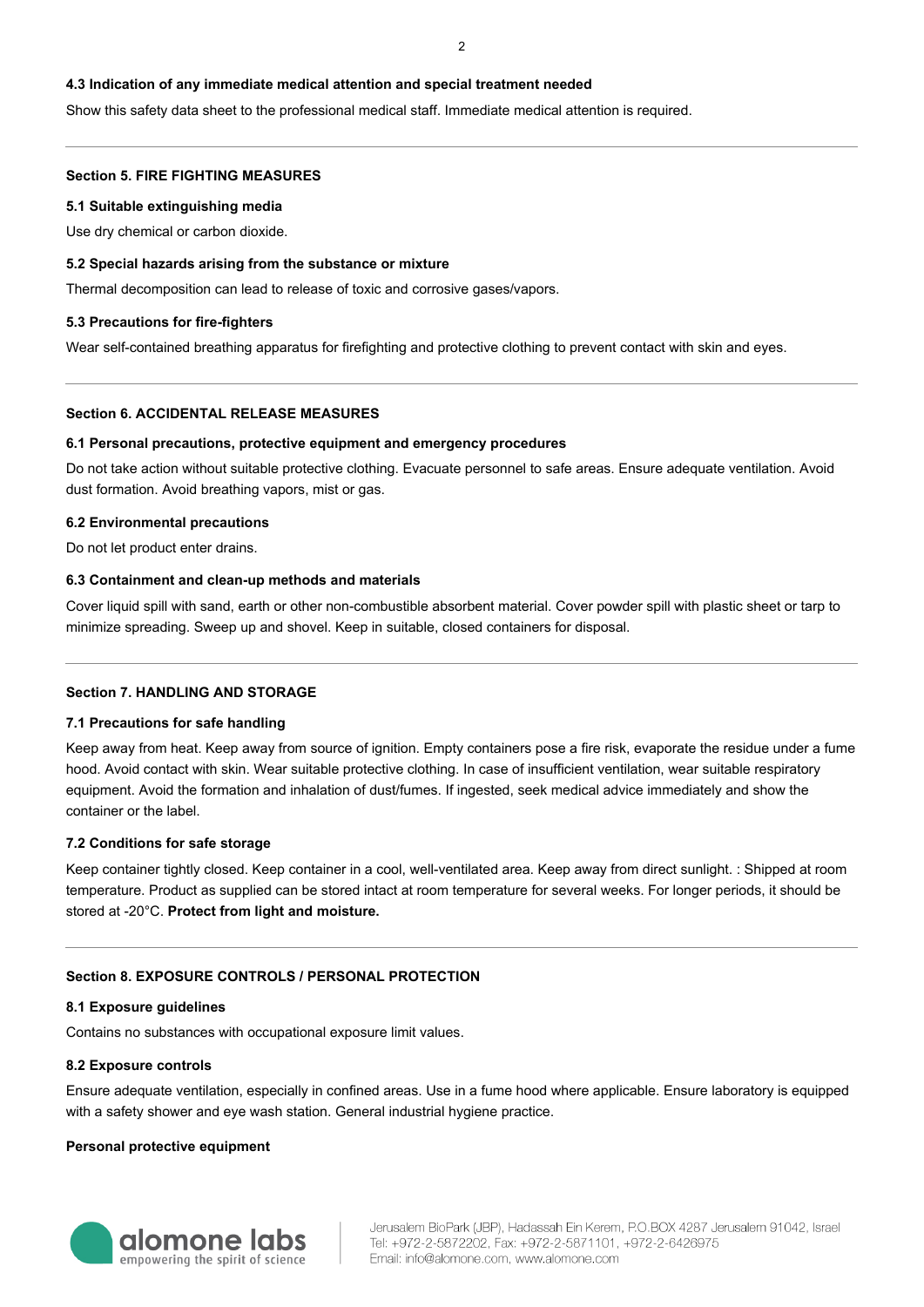## **4.3 Indication of any immediate medical attention and special treatment needed**

Show this safety data sheet to the professional medical staff. Immediate medical attention is required.

### **Section 5. FIRE FIGHTING MEASURES**

### **5.1 Suitable extinguishing media**

Use dry chemical or carbon dioxide.

### **5.2 Special hazards arising from the substance or mixture**

Thermal decomposition can lead to release of toxic and corrosive gases/vapors.

### **5.3 Precautions for fire-fighters**

Wear self-contained breathing apparatus for firefighting and protective clothing to prevent contact with skin and eyes.

## **Section 6. ACCIDENTAL RELEASE MEASURES**

### **6.1 Personal precautions, protective equipment and emergency procedures**

Do not take action without suitable protective clothing. Evacuate personnel to safe areas. Ensure adequate ventilation. Avoid dust formation. Avoid breathing vapors, mist or gas.

## **6.2 Environmental precautions**

Do not let product enter drains.

## **6.3 Containment and clean-up methods and materials**

Cover liquid spill with sand, earth or other non-combustible absorbent material. Cover powder spill with plastic sheet or tarp to minimize spreading. Sweep up and shovel. Keep in suitable, closed containers for disposal.

# **Section 7. HANDLING AND STORAGE**

### **7.1 Precautions for safe handling**

Keep away from heat. Keep away from source of ignition. Empty containers pose a fire risk, evaporate the residue under a fume hood. Avoid contact with skin. Wear suitable protective clothing. In case of insufficient ventilation, wear suitable respiratory equipment. Avoid the formation and inhalation of dust/fumes. If ingested, seek medical advice immediately and show the container or the label.

# **7.2 Conditions for safe storage**

Keep container tightly closed. Keep container in a cool, well-ventilated area. Keep away from direct sunlight. : Shipped at room temperature. Product as supplied can be stored intact at room temperature for several weeks. For longer periods, it should be stored at -20°C. **Protect from light and moisture.**

# **Section 8. EXPOSURE CONTROLS / PERSONAL PROTECTION**

### **8.1 Exposure guidelines**

Contains no substances with occupational exposure limit values.

### **8.2 Exposure controls**

Ensure adequate ventilation, especially in confined areas. Use in a fume hood where applicable. Ensure laboratory is equipped with a safety shower and eye wash station. General industrial hygiene practice.

### **Personal protective equipment**

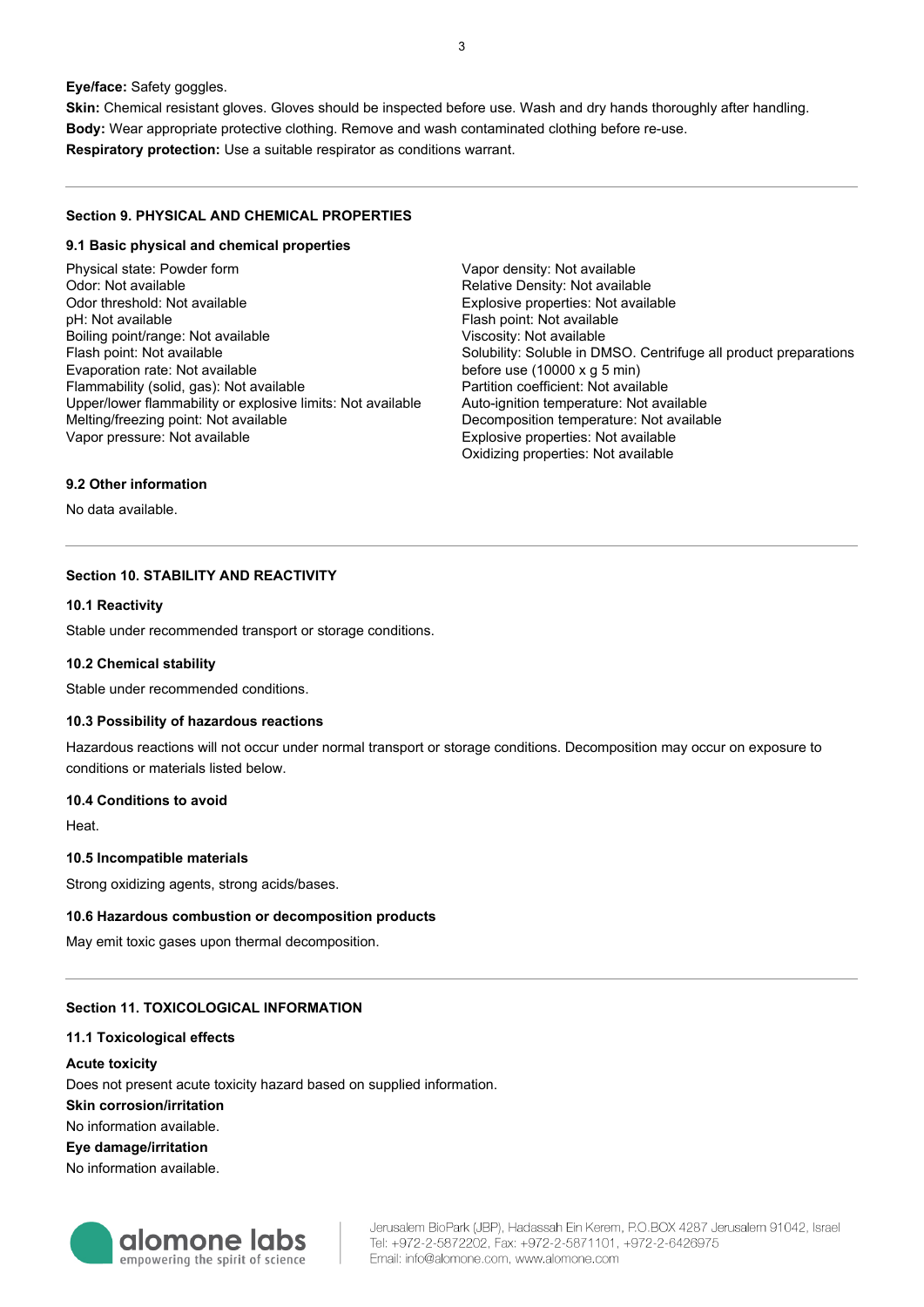**Eye/face:** Safety goggles.

**Skin:** Chemical resistant gloves. Gloves should be inspected before use. Wash and dry hands thoroughly after handling. **Body:** Wear appropriate protective clothing. Remove and wash contaminated clothing before re-use. **Respiratory protection:** Use a suitable respirator as conditions warrant.

# **Section 9. PHYSICAL AND CHEMICAL PROPERTIES**

### **9.1 Basic physical and chemical properties**

Physical state: Powder form Odor: Not available Odor threshold: Not available pH: Not available Boiling point/range: Not available Flash point: Not available Evaporation rate: Not available Flammability (solid, gas): Not available Upper/lower flammability or explosive limits: Not available Melting/freezing point: Not available Vapor pressure: Not available

Vapor density: Not available Relative Density: Not available Explosive properties: Not available Flash point: Not available Viscosity: Not available Solubility: Soluble in DMSO. Centrifuge all product preparations before use (10000 x g 5 min) Partition coefficient: Not available Auto-ignition temperature: Not available Decomposition temperature: Not available Explosive properties: Not available Oxidizing properties: Not available

## **9.2 Other information**

No data available.

# **Section 10. STABILITY AND REACTIVITY**

# **10.1 Reactivity**

Stable under recommended transport or storage conditions.

### **10.2 Chemical stability**

Stable under recommended conditions.

### **10.3 Possibility of hazardous reactions**

Hazardous reactions will not occur under normal transport or storage conditions. Decomposition may occur on exposure to conditions or materials listed below.

### **10.4 Conditions to avoid**

Heat.

### **10.5 Incompatible materials**

Strong oxidizing agents, strong acids/bases.

### **10.6 Hazardous combustion or decomposition products**

May emit toxic gases upon thermal decomposition.

# **Section 11. TOXICOLOGICAL INFORMATION**

### **11.1 Toxicological effects**

### **Acute toxicity**

Does not present acute toxicity hazard based on supplied information.

**Skin corrosion/irritation**

No information available.

## **Eye damage/irritation**

No information available.

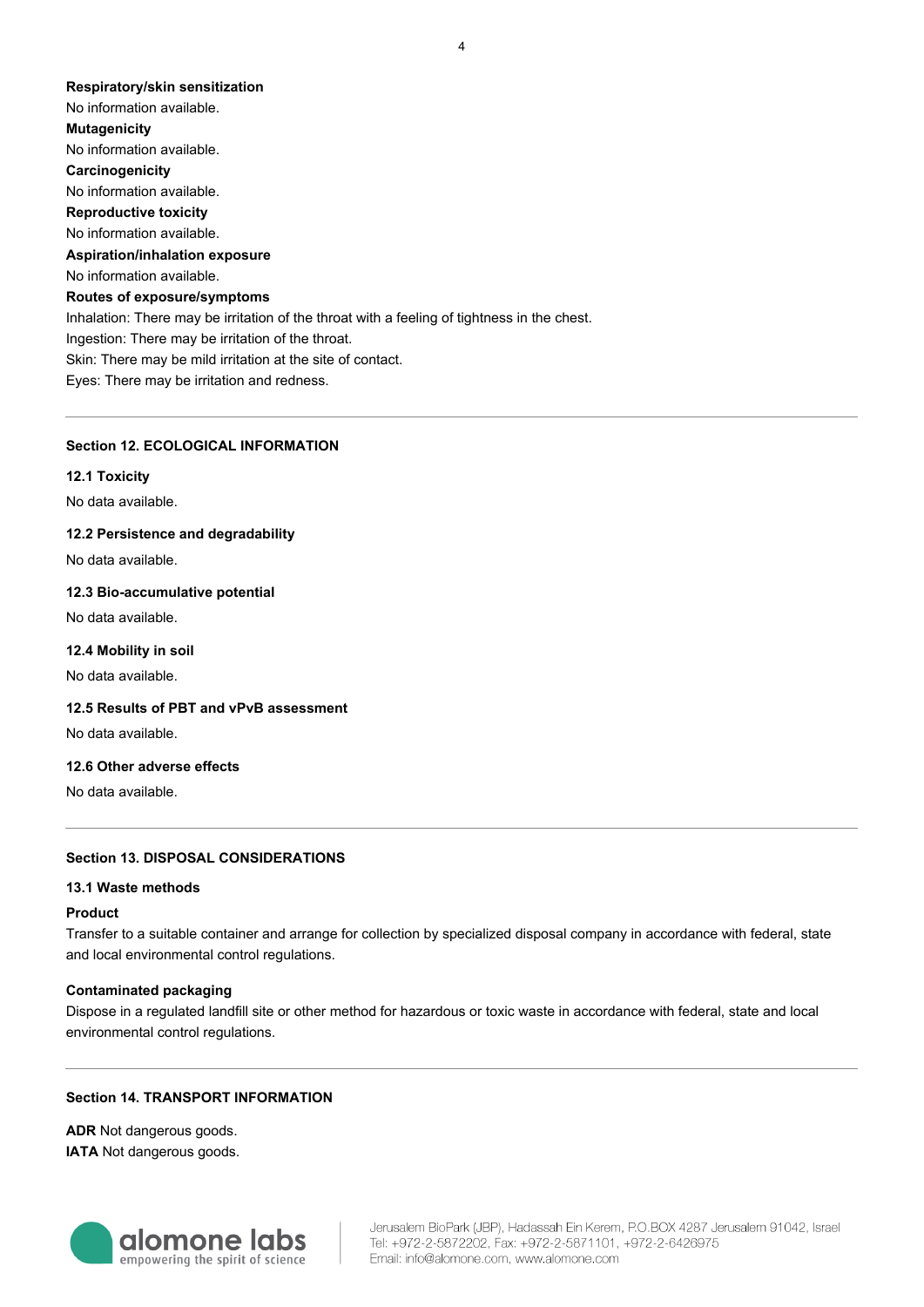#### **Respiratory/skin sensitization**

No information available. **Mutagenicity** No information available. **Carcinogenicity** No information available. **Reproductive toxicity** No information available. **Aspiration/inhalation exposure** No information available. **Routes of exposure/symptoms** Inhalation: There may be irritation of the throat with a feeling of tightness in the chest. Ingestion: There may be irritation of the throat. Skin: There may be mild irritation at the site of contact. Eyes: There may be irritation and redness.

## **Section 12. ECOLOGICAL INFORMATION**

#### **12.1 Toxicity**

No data available.

## **12.2 Persistence and degradability**

No data available.

### **12.3 Bio-accumulative potential**

No data available.

#### **12.4 Mobility in soil**

No data available.

# **12.5 Results of PBT and vPvB assessment**

No data available.

# **12.6 Other adverse effects**

No data available.

## **Section 13. DISPOSAL CONSIDERATIONS**

#### **13.1 Waste methods**

### **Product**

Transfer to a suitable container and arrange for collection by specialized disposal company in accordance with federal, state and local environmental control regulations.

#### **Contaminated packaging**

Dispose in a regulated landfill site or other method for hazardous or toxic waste in accordance with federal, state and local environmental control regulations.

# **Section 14. TRANSPORT INFORMATION**

**ADR** Not dangerous goods. **IATA** Not dangerous goods.